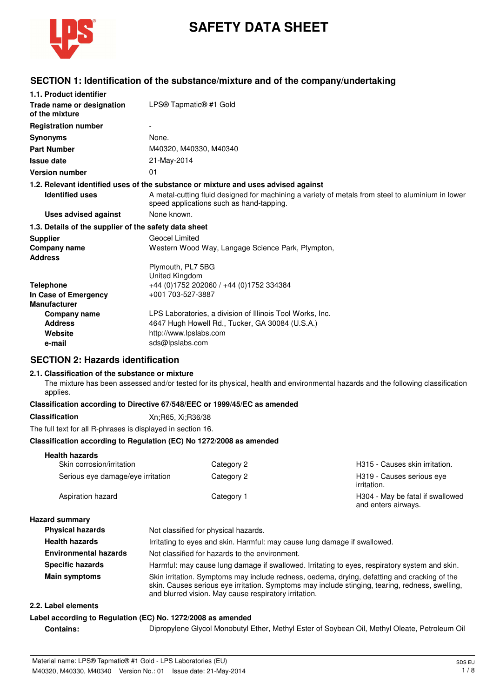

# **SAFETY DATA SHEET**

# **SECTION 1: Identification of the substance/mixture and of the company/undertaking**

| 1.1. Product identifier                               |                                                                                                                                               |
|-------------------------------------------------------|-----------------------------------------------------------------------------------------------------------------------------------------------|
| Trade name or designation<br>of the mixture           | LPS® Tapmatic® #1 Gold                                                                                                                        |
| <b>Registration number</b>                            |                                                                                                                                               |
| <b>Synonyms</b>                                       | None.                                                                                                                                         |
| <b>Part Number</b>                                    | M40320, M40330, M40340                                                                                                                        |
| <b>Issue date</b>                                     | 21-May-2014                                                                                                                                   |
| <b>Version number</b>                                 | 01                                                                                                                                            |
|                                                       | 1.2. Relevant identified uses of the substance or mixture and uses advised against                                                            |
| <b>Identified uses</b>                                | A metal-cutting fluid designed for machining a variety of metals from steel to aluminium in lower<br>speed applications such as hand-tapping. |
| <b>Uses advised against</b>                           | None known.                                                                                                                                   |
| 1.3. Details of the supplier of the safety data sheet |                                                                                                                                               |
| <b>Supplier</b>                                       | Geocel Limited                                                                                                                                |
| Company name                                          | Western Wood Way, Langage Science Park, Plympton,                                                                                             |
| <b>Address</b>                                        |                                                                                                                                               |
|                                                       | Plymouth, PL7 5BG                                                                                                                             |
|                                                       | United Kingdom                                                                                                                                |
| <b>Telephone</b>                                      | +44 (0)1752 202060 / +44 (0)1752 334384                                                                                                       |
| In Case of Emergency                                  | +001 703-527-3887                                                                                                                             |
| <b>Manufacturer</b>                                   |                                                                                                                                               |
| Company name                                          | LPS Laboratories, a division of Illinois Tool Works, Inc.                                                                                     |
| <b>Address</b>                                        | 4647 Hugh Howell Rd., Tucker, GA 30084 (U.S.A.)                                                                                               |
| Website                                               | http://www.lpslabs.com                                                                                                                        |
| e-mail                                                | sds@lpslabs.com                                                                                                                               |

## **SECTION 2: Hazards identification**

#### **2.1. Classification of the substance or mixture**

The mixture has been assessed and/or tested for its physical, health and environmental hazards and the following classification applies.

#### **Classification according to Directive 67/548/EEC or 1999/45/EC as amended**

#### **Classification** Xn;R65, Xi;R36/38

The full text for all R-phrases is displayed in section 16.

#### **Classification according to Regulation (EC) No 1272/2008 as amended**

| <b>Health hazards</b>             |            |                                                         |
|-----------------------------------|------------|---------------------------------------------------------|
| Skin corrosion/irritation         | Category 2 | H315 - Causes skin irritation.                          |
| Serious eye damage/eye irritation | Category 2 | H319 - Causes serious eve<br>irritation.                |
| Aspiration hazard                 | Category 1 | H304 - May be fatal if swallowed<br>and enters airways. |

#### **Hazard summary**

| <b>Physical hazards</b>      | Not classified for physical hazards.                                                                                                                                                                                                                     |  |
|------------------------------|----------------------------------------------------------------------------------------------------------------------------------------------------------------------------------------------------------------------------------------------------------|--|
| <b>Health hazards</b>        | Irritating to eyes and skin. Harmful: may cause lung damage if swallowed.                                                                                                                                                                                |  |
| <b>Environmental hazards</b> | Not classified for hazards to the environment.                                                                                                                                                                                                           |  |
| <b>Specific hazards</b>      | Harmful: may cause lung damage if swallowed. Irritating to eyes, respiratory system and skin.                                                                                                                                                            |  |
| <b>Main symptoms</b>         | Skin irritation. Symptoms may include redness, oedema, drying, defatting and cracking of the<br>skin. Causes serious eye irritation. Symptoms may include stinging, tearing, redness, swelling,<br>and blurred vision. May cause respiratory irritation. |  |

#### **2.2. Label elements**

#### **Label according to Regulation (EC) No. 1272/2008 as amended**

**Contains:** Dipropylene Glycol Monobutyl Ether, Methyl Ester of Soybean Oil, Methyl Oleate, Petroleum Oil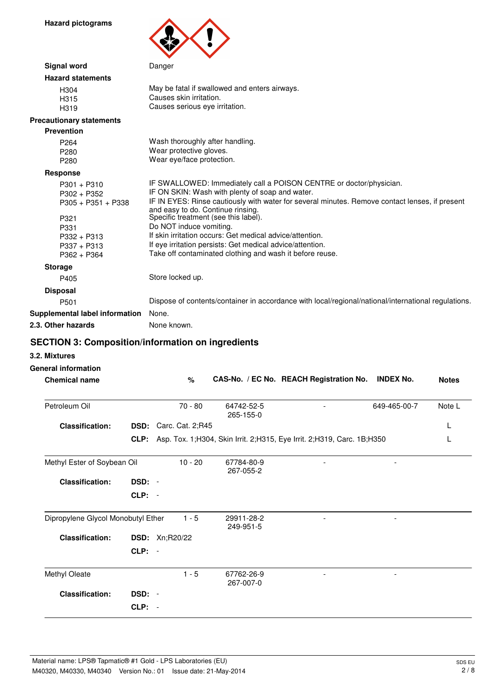**Hazard pictograms**



| <b>Signal word</b>                                                                                                        | Danger                                                                                                                                                                                                                                                                                                                                                                                                                                                                                                                |
|---------------------------------------------------------------------------------------------------------------------------|-----------------------------------------------------------------------------------------------------------------------------------------------------------------------------------------------------------------------------------------------------------------------------------------------------------------------------------------------------------------------------------------------------------------------------------------------------------------------------------------------------------------------|
| <b>Hazard statements</b>                                                                                                  |                                                                                                                                                                                                                                                                                                                                                                                                                                                                                                                       |
| H <sub>304</sub><br>H <sub>315</sub><br>H <sub>319</sub>                                                                  | May be fatal if swallowed and enters airways.<br>Causes skin irritation.<br>Causes serious eye irritation.                                                                                                                                                                                                                                                                                                                                                                                                            |
| <b>Precautionary statements</b>                                                                                           |                                                                                                                                                                                                                                                                                                                                                                                                                                                                                                                       |
| <b>Prevention</b>                                                                                                         |                                                                                                                                                                                                                                                                                                                                                                                                                                                                                                                       |
| P <sub>264</sub><br>P <sub>280</sub><br>P <sub>280</sub>                                                                  | Wash thoroughly after handling.<br>Wear protective gloves.<br>Wear eye/face protection.                                                                                                                                                                                                                                                                                                                                                                                                                               |
| <b>Response</b>                                                                                                           |                                                                                                                                                                                                                                                                                                                                                                                                                                                                                                                       |
| $P301 + P310$<br>$P302 + P352$<br>$P305 + P351 + P338$<br>P321<br>P331<br>$P332 + P313$<br>$P337 + P313$<br>$P362 + P364$ | IF SWALLOWED: Immediately call a POISON CENTRE or doctor/physician.<br>IF ON SKIN: Wash with plenty of soap and water.<br>IF IN EYES: Rinse cautiously with water for several minutes. Remove contact lenses, if present<br>and easy to do. Continue rinsing.<br>Specific treatment (see this label).<br>Do NOT induce vomiting.<br>If skin irritation occurs: Get medical advice/attention.<br>If eye irritation persists: Get medical advice/attention.<br>Take off contaminated clothing and wash it before reuse. |
| <b>Storage</b>                                                                                                            |                                                                                                                                                                                                                                                                                                                                                                                                                                                                                                                       |
| P405                                                                                                                      | Store locked up.                                                                                                                                                                                                                                                                                                                                                                                                                                                                                                      |
| <b>Disposal</b>                                                                                                           |                                                                                                                                                                                                                                                                                                                                                                                                                                                                                                                       |
| P <sub>501</sub>                                                                                                          | Dispose of contents/container in accordance with local/regional/national/international regulations.                                                                                                                                                                                                                                                                                                                                                                                                                   |
| Supplemental label information                                                                                            | None.                                                                                                                                                                                                                                                                                                                                                                                                                                                                                                                 |
| 2.3. Other hazards                                                                                                        | None known.                                                                                                                                                                                                                                                                                                                                                                                                                                                                                                           |

# **SECTION 3: Composition/information on ingredients**

- **3.2. Mixtures**
- **General information**

| <b>Chemical name</b>               |             | $\%$             |                         | CAS-No. / EC No. REACH Registration No.                                    | <b>INDEX No.</b> | <b>Notes</b> |
|------------------------------------|-------------|------------------|-------------------------|----------------------------------------------------------------------------|------------------|--------------|
| Petroleum Oil                      |             | $70 - 80$        | 64742-52-5<br>265-155-0 |                                                                            | 649-465-00-7     | Note L       |
| <b>Classification:</b>             | DSD:        | Carc. Cat. 2;R45 |                         |                                                                            |                  | L            |
|                                    | CLP:        |                  |                         | Asp. Tox. 1; H304, Skin Irrit. 2; H315, Eye Irrit. 2; H319, Carc. 1B; H350 |                  |              |
| Methyl Ester of Soybean Oil        |             | $10 - 20$        | 67784-80-9<br>267-055-2 |                                                                            |                  |              |
| <b>Classification:</b>             | DSD: -      |                  |                         |                                                                            |                  |              |
|                                    | $CLP: -$    |                  |                         |                                                                            |                  |              |
| Dipropylene Glycol Monobutyl Ether |             | $1 - 5$          | 29911-28-2<br>249-951-5 | $\overline{\phantom{a}}$                                                   |                  |              |
| <b>Classification:</b>             | <b>DSD:</b> | Xn;R20/22        |                         |                                                                            |                  |              |
|                                    | $CLP: -$    |                  |                         |                                                                            |                  |              |
| Methyl Oleate                      |             | $1 - 5$          | 67762-26-9<br>267-007-0 | $\overline{\phantom{a}}$                                                   |                  |              |
| <b>Classification:</b>             | DSD: -      |                  |                         |                                                                            |                  |              |
|                                    | $CLP: -$    |                  |                         |                                                                            |                  |              |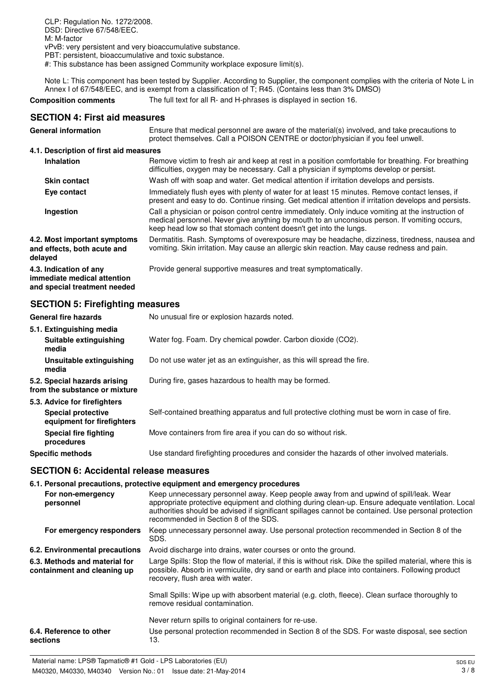CLP: Regulation No. 1272/2008. DSD: Directive 67/548/EEC. M: M-factor vPvB: very persistent and very bioaccumulative substance. PBT: persistent, bioaccumulative and toxic substance.

#: This substance has been assigned Community workplace exposure limit(s).

Note L: This component has been tested by Supplier. According to Supplier, the component complies with the criteria of Note L in Annex I of 67/548/EEC, and is exempt from a classification of T; R45. (Contains less than 3% DMSO)

**Composition comments** The full text for all R- and H-phrases is displayed in section 16.

#### **SECTION 4: First aid measures**

| <b>General information</b>                                                            | Ensure that medical personnel are aware of the material(s) involved, and take precautions to<br>protect themselves. Call a POISON CENTRE or doctor/physician if you feel unwell.                                                                                       |
|---------------------------------------------------------------------------------------|------------------------------------------------------------------------------------------------------------------------------------------------------------------------------------------------------------------------------------------------------------------------|
| 4.1. Description of first aid measures                                                |                                                                                                                                                                                                                                                                        |
| <b>Inhalation</b>                                                                     | Remove victim to fresh air and keep at rest in a position comfortable for breathing. For breathing<br>difficulties, oxygen may be necessary. Call a physician if symptoms develop or persist.                                                                          |
| <b>Skin contact</b>                                                                   | Wash off with soap and water. Get medical attention if irritation develops and persists.                                                                                                                                                                               |
| Eye contact                                                                           | Immediately flush eyes with plenty of water for at least 15 minutes. Remove contact lenses, if<br>present and easy to do. Continue rinsing. Get medical attention if irritation develops and persists.                                                                 |
| Ingestion                                                                             | Call a physician or poison control centre immediately. Only induce vomiting at the instruction of<br>medical personnel. Never give anything by mouth to an unconsious person. If vomiting occurs,<br>keep head low so that stomach content doesn't get into the lungs. |
| 4.2. Most important symptoms<br>and effects, both acute and<br>delayed                | Dermatitis. Rash. Symptoms of overexposure may be headache, dizziness, tiredness, nausea and<br>vomiting. Skin irritation. May cause an allergic skin reaction. May cause redness and pain.                                                                            |
| 4.3. Indication of any<br>immediate medical attention<br>and special treatment needed | Provide general supportive measures and treat symptomatically.                                                                                                                                                                                                         |

## **SECTION 5: Firefighting measures**

| <b>General fire hazards</b>                                   | No unusual fire or explosion hazards noted.                                                   |
|---------------------------------------------------------------|-----------------------------------------------------------------------------------------------|
| 5.1. Extinguishing media                                      |                                                                                               |
| Suitable extinguishing<br>media                               | Water fog. Foam. Dry chemical powder. Carbon dioxide (CO2).                                   |
| Unsuitable extinguishing<br>media                             | Do not use water jet as an extinguisher, as this will spread the fire.                        |
| 5.2. Special hazards arising<br>from the substance or mixture | During fire, gases hazardous to health may be formed.                                         |
| 5.3. Advice for firefighters                                  |                                                                                               |
| <b>Special protective</b><br>equipment for firefighters       | Self-contained breathing apparatus and full protective clothing must be worn in case of fire. |
| Special fire fighting<br>procedures                           | Move containers from fire area if you can do so without risk.                                 |
| Specific methods                                              | Use standard firefighting procedures and consider the hazards of other involved materials.    |

#### **SECTION 6: Accidental release measures**

|                                                              | 6.1. Personal precautions, protective equipment and emergency procedures                                                                                                                                                                                                                                                                  |
|--------------------------------------------------------------|-------------------------------------------------------------------------------------------------------------------------------------------------------------------------------------------------------------------------------------------------------------------------------------------------------------------------------------------|
| For non-emergency<br>personnel                               | Keep unnecessary personnel away. Keep people away from and upwind of spill/leak. Wear<br>appropriate protective equipment and clothing during clean-up. Ensure adequate ventilation. Local<br>authorities should be advised if significant spillages cannot be contained. Use personal protection<br>recommended in Section 8 of the SDS. |
| For emergency responders                                     | Keep unnecessary personnel away. Use personal protection recommended in Section 8 of the<br>SDS.                                                                                                                                                                                                                                          |
| 6.2. Environmental precautions                               | Avoid discharge into drains, water courses or onto the ground.                                                                                                                                                                                                                                                                            |
| 6.3. Methods and material for<br>containment and cleaning up | Large Spills: Stop the flow of material, if this is without risk. Dike the spilled material, where this is<br>possible. Absorb in vermiculite, dry sand or earth and place into containers. Following product<br>recovery, flush area with water.                                                                                         |
|                                                              | Small Spills: Wipe up with absorbent material (e.g. cloth, fleece). Clean surface thoroughly to<br>remove residual contamination.                                                                                                                                                                                                         |
|                                                              | Never return spills to original containers for re-use.                                                                                                                                                                                                                                                                                    |
| 6.4. Reference to other<br>sections                          | Use personal protection recommended in Section 8 of the SDS. For waste disposal, see section<br>13.                                                                                                                                                                                                                                       |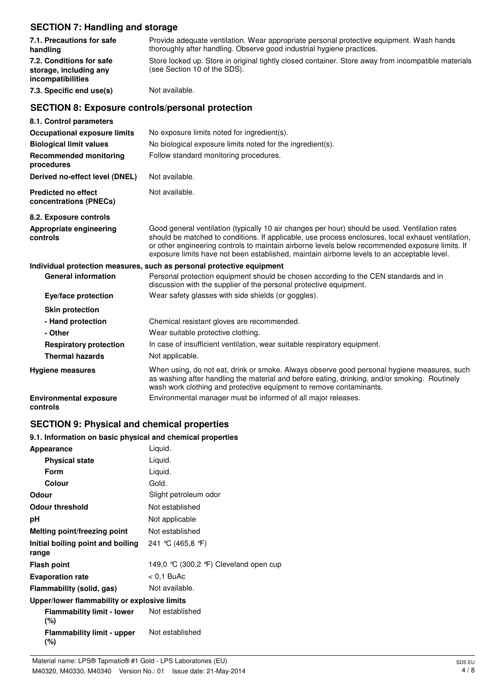## **SECTION 7: Handling and storage**

| $\overline{3}$ . The contraction of the state $\overline{3}$            |                                                                                                                                                                                                                                                                                                                                                                                                        |  |  |
|-------------------------------------------------------------------------|--------------------------------------------------------------------------------------------------------------------------------------------------------------------------------------------------------------------------------------------------------------------------------------------------------------------------------------------------------------------------------------------------------|--|--|
| 7.1. Precautions for safe<br>handling                                   | Provide adequate ventilation. Wear appropriate personal protective equipment. Wash hands<br>thoroughly after handling. Observe good industrial hygiene practices.                                                                                                                                                                                                                                      |  |  |
| 7.2. Conditions for safe<br>storage, including any<br>incompatibilities | Store locked up. Store in original tightly closed container. Store away from incompatible materials<br>(see Section 10 of the SDS).                                                                                                                                                                                                                                                                    |  |  |
| 7.3. Specific end use(s)                                                | Not available.                                                                                                                                                                                                                                                                                                                                                                                         |  |  |
| <b>SECTION 8: Exposure controls/personal protection</b>                 |                                                                                                                                                                                                                                                                                                                                                                                                        |  |  |
| 8.1. Control parameters                                                 |                                                                                                                                                                                                                                                                                                                                                                                                        |  |  |
| <b>Occupational exposure limits</b>                                     | No exposure limits noted for ingredient(s).                                                                                                                                                                                                                                                                                                                                                            |  |  |
| <b>Biological limit values</b>                                          | No biological exposure limits noted for the ingredient(s).                                                                                                                                                                                                                                                                                                                                             |  |  |
| <b>Recommended monitoring</b><br>procedures                             | Follow standard monitoring procedures.                                                                                                                                                                                                                                                                                                                                                                 |  |  |
| Derived no-effect level (DNEL)                                          | Not available.                                                                                                                                                                                                                                                                                                                                                                                         |  |  |
| <b>Predicted no effect</b><br>concentrations (PNECs)                    | Not available.                                                                                                                                                                                                                                                                                                                                                                                         |  |  |
| 8.2. Exposure controls                                                  |                                                                                                                                                                                                                                                                                                                                                                                                        |  |  |
| Appropriate engineering<br>controls                                     | Good general ventilation (typically 10 air changes per hour) should be used. Ventilation rates<br>should be matched to conditions. If applicable, use process enclosures, local exhaust ventilation,<br>or other engineering controls to maintain airborne levels below recommended exposure limits. If<br>exposure limits have not been established, maintain airborne levels to an acceptable level. |  |  |
|                                                                         | Individual protection measures, such as personal protective equipment                                                                                                                                                                                                                                                                                                                                  |  |  |
| <b>General information</b>                                              | Personal protection equipment should be chosen according to the CEN standards and in<br>discussion with the supplier of the personal protective equipment.                                                                                                                                                                                                                                             |  |  |
| Eye/face protection                                                     | Wear safety glasses with side shields (or goggles).                                                                                                                                                                                                                                                                                                                                                    |  |  |
| <b>Skin protection</b>                                                  |                                                                                                                                                                                                                                                                                                                                                                                                        |  |  |
| - Hand protection                                                       | Chemical resistant gloves are recommended.                                                                                                                                                                                                                                                                                                                                                             |  |  |
| - Other                                                                 | Wear suitable protective clothing.                                                                                                                                                                                                                                                                                                                                                                     |  |  |
| <b>Respiratory protection</b>                                           | In case of insufficient ventilation, wear suitable respiratory equipment.                                                                                                                                                                                                                                                                                                                              |  |  |
| <b>Thermal hazards</b>                                                  | Not applicable.                                                                                                                                                                                                                                                                                                                                                                                        |  |  |
| <b>Hygiene measures</b>                                                 | When using, do not eat, drink or smoke. Always observe good personal hygiene measures, such<br>as washing after handling the material and before eating, drinking, and/or smoking. Routinely<br>wash work clothing and protective equipment to remove contaminants.                                                                                                                                    |  |  |
| <b>Environmental exposure</b><br>controls                               | Environmental manager must be informed of all major releases.                                                                                                                                                                                                                                                                                                                                          |  |  |

# **SECTION 9: Physical and chemical properties**

## **9.1. Information on basic physical and chemical properties**

| Appearance                                   | Liquid.                               |
|----------------------------------------------|---------------------------------------|
| <b>Physical state</b>                        | Liquid.                               |
| <b>Form</b>                                  | Liquid.                               |
| Colour                                       | Gold.                                 |
| Odour                                        | Slight petroleum odor                 |
| <b>Odour threshold</b>                       | Not established                       |
| рH                                           | Not applicable                        |
| Melting point/freezing point                 | Not established                       |
| Initial boiling point and boiling<br>range   | 241 °C (465,8 °F)                     |
| <b>Flash point</b>                           | 149,0 ℃ (300,2 °F) Cleveland open cup |
| <b>Evaporation rate</b>                      | < 0.1 BuAc                            |
| Flammability (solid, gas)                    | Not available.                        |
| Upper/lower flammability or explosive limits |                                       |
| <b>Flammability limit - lower</b><br>(%)     | Not established                       |
| <b>Flammability limit - upper</b>            | Not established                       |

**(%)**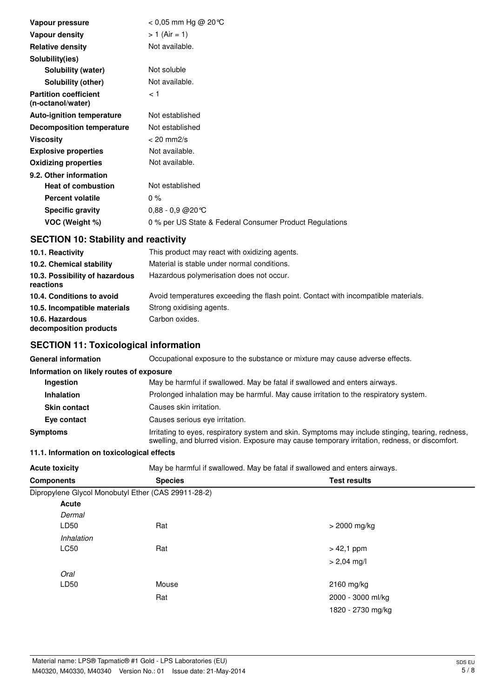| Vapour pressure                                   | $<$ 0,05 mm Hg @ 20 °C                                  |
|---------------------------------------------------|---------------------------------------------------------|
| <b>Vapour density</b>                             | $> 1$ (Air = 1)                                         |
| <b>Relative density</b>                           | Not available.                                          |
| Solubility(ies)                                   |                                                         |
| Solubility (water)                                | Not soluble                                             |
| Solubility (other)                                | Not available.                                          |
| <b>Partition coefficient</b><br>(n-octanol/water) | 1 >                                                     |
| <b>Auto-ignition temperature</b>                  | Not established                                         |
| <b>Decomposition temperature</b>                  | Not established                                         |
| <b>Viscosity</b>                                  | $< 20$ mm $2/s$                                         |
| <b>Explosive properties</b>                       | Not available.                                          |
| <b>Oxidizing properties</b>                       | Not available.                                          |
| 9.2. Other information                            |                                                         |
| <b>Heat of combustion</b>                         | Not established                                         |
| <b>Percent volatile</b>                           | $0\%$                                                   |
| <b>Specific gravity</b>                           | $0,88 - 0,9$ @ 20 °C                                    |
| VOC (Weight %)                                    | 0 % per US State & Federal Consumer Product Regulations |

# **SECTION 10: Stability and reactivity**

| 10.1. Reactivity                            | This product may react with oxidizing agents.                                      |
|---------------------------------------------|------------------------------------------------------------------------------------|
| 10.2. Chemical stability                    | Material is stable under normal conditions.                                        |
| 10.3. Possibility of hazardous<br>reactions | Hazardous polymerisation does not occur.                                           |
| 10.4. Conditions to avoid                   | Avoid temperatures exceeding the flash point. Contact with incompatible materials. |
| 10.5. Incompatible materials                | Strong oxidising agents.                                                           |
| 10.6. Hazardous<br>decomposition products   | Carbon oxides.                                                                     |

# **SECTION 11: Toxicological information**

| <b>General information</b>               | Occupational exposure to the substance or mixture may cause adverse effects.                                                                                                                        |
|------------------------------------------|-----------------------------------------------------------------------------------------------------------------------------------------------------------------------------------------------------|
| Information on likely routes of exposure |                                                                                                                                                                                                     |
| Ingestion                                | May be harmful if swallowed. May be fatal if swallowed and enters airways.                                                                                                                          |
| <b>Inhalation</b>                        | Prolonged inhalation may be harmful. May cause irritation to the respiratory system.                                                                                                                |
| <b>Skin contact</b>                      | Causes skin irritation.                                                                                                                                                                             |
| Eye contact                              | Causes serious eve irritation.                                                                                                                                                                      |
| Symptoms                                 | Irritating to eyes, respiratory system and skin. Symptoms may include stinging, tearing, redness,<br>swelling, and blurred vision. Exposure may cause temporary irritation, redness, or discomfort. |

## **11.1. Information on toxicological effects**

| Acute toxicity | May be harmful if swallowed. May be fatal if swallowed and enters airways. |
|----------------|----------------------------------------------------------------------------|
|----------------|----------------------------------------------------------------------------|

| <b>Components</b> | <b>Species</b>                                      | <b>Test results</b> |  |
|-------------------|-----------------------------------------------------|---------------------|--|
|                   | Dipropylene Glycol Monobutyl Ether (CAS 29911-28-2) |                     |  |
| Acute             |                                                     |                     |  |
| Dermal            |                                                     |                     |  |
| LD50              | Rat                                                 | $>$ 2000 mg/kg      |  |
| Inhalation        |                                                     |                     |  |
| LC50              | Rat                                                 | $> 42,1$ ppm        |  |
|                   |                                                     | $> 2,04$ mg/l       |  |
| Oral              |                                                     |                     |  |
| LD50              | Mouse                                               | $2160$ mg/kg        |  |
|                   | Rat                                                 | 2000 - 3000 ml/kg   |  |
|                   |                                                     | 1820 - 2730 mg/kg   |  |
|                   |                                                     |                     |  |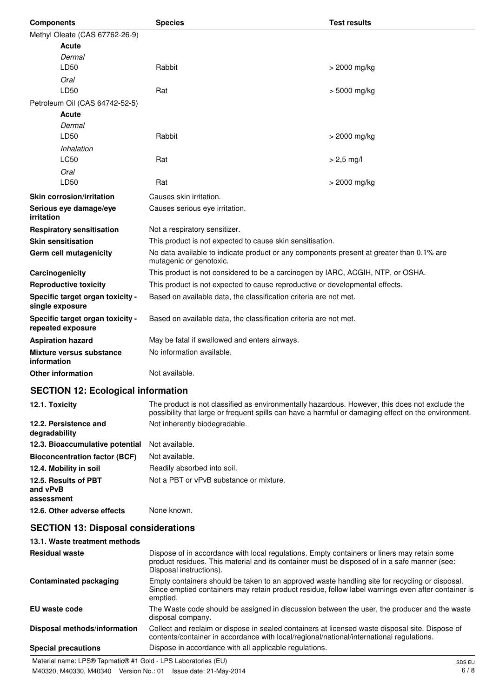| <b>Components</b>                                     | <b>Species</b>                                                                                                                                                                                        | <b>Test results</b> |
|-------------------------------------------------------|-------------------------------------------------------------------------------------------------------------------------------------------------------------------------------------------------------|---------------------|
| Methyl Oleate (CAS 67762-26-9)                        |                                                                                                                                                                                                       |                     |
| Acute                                                 |                                                                                                                                                                                                       |                     |
| Dermal                                                |                                                                                                                                                                                                       |                     |
| LD50                                                  | Rabbit                                                                                                                                                                                                | > 2000 mg/kg        |
| Oral                                                  |                                                                                                                                                                                                       |                     |
| LD50                                                  | Rat                                                                                                                                                                                                   | > 5000 mg/kg        |
| Petroleum Oil (CAS 64742-52-5)                        |                                                                                                                                                                                                       |                     |
| Acute<br>Dermal                                       |                                                                                                                                                                                                       |                     |
| LD50                                                  | Rabbit                                                                                                                                                                                                | $>$ 2000 mg/kg      |
| Inhalation                                            |                                                                                                                                                                                                       |                     |
| <b>LC50</b>                                           | Rat                                                                                                                                                                                                   | $> 2,5$ mg/l        |
| Oral                                                  |                                                                                                                                                                                                       |                     |
| LD50                                                  | Rat                                                                                                                                                                                                   | > 2000 mg/kg        |
| <b>Skin corrosion/irritation</b>                      | Causes skin irritation.                                                                                                                                                                               |                     |
| Serious eye damage/eye                                | Causes serious eye irritation.                                                                                                                                                                        |                     |
| irritation                                            |                                                                                                                                                                                                       |                     |
| <b>Respiratory sensitisation</b>                      | Not a respiratory sensitizer.                                                                                                                                                                         |                     |
| <b>Skin sensitisation</b>                             | This product is not expected to cause skin sensitisation.                                                                                                                                             |                     |
| Germ cell mutagenicity                                | No data available to indicate product or any components present at greater than 0.1% are<br>mutagenic or genotoxic.                                                                                   |                     |
| Carcinogenicity                                       | This product is not considered to be a carcinogen by IARC, ACGIH, NTP, or OSHA.                                                                                                                       |                     |
| <b>Reproductive toxicity</b>                          | This product is not expected to cause reproductive or developmental effects.                                                                                                                          |                     |
| Specific target organ toxicity -<br>single exposure   | Based on available data, the classification criteria are not met.                                                                                                                                     |                     |
| Specific target organ toxicity -<br>repeated exposure | Based on available data, the classification criteria are not met.                                                                                                                                     |                     |
| <b>Aspiration hazard</b>                              | May be fatal if swallowed and enters airways.                                                                                                                                                         |                     |
| Mixture versus substance<br>information               | No information available.                                                                                                                                                                             |                     |
| <b>Other information</b>                              | Not available.                                                                                                                                                                                        |                     |
| <b>SECTION 12: Ecological information</b>             |                                                                                                                                                                                                       |                     |
| 12.1. Toxicity                                        | The product is not classified as environmentally hazardous. However, this does not exclude the<br>possibility that large or frequent spills can have a harmful or damaging effect on the environment. |                     |
| 12.2. Persistence and<br>degradability                | Not inherently biodegradable.                                                                                                                                                                         |                     |
| 12.3. Bioaccumulative potential                       | Not available.                                                                                                                                                                                        |                     |
| <b>Bioconcentration factor (BCF)</b>                  | Not available.                                                                                                                                                                                        |                     |
| 12.4. Mobility in soil                                | Readily absorbed into soil.                                                                                                                                                                           |                     |
| 12.5. Results of PBT<br>and vPvB<br>assessment        | Not a PBT or vPvB substance or mixture.                                                                                                                                                               |                     |
| 12.6. Other adverse effects                           | None known.                                                                                                                                                                                           |                     |
| <b>SECTION 13: Disposal considerations</b>            |                                                                                                                                                                                                       |                     |
| 13.1. Waste treatment methods                         |                                                                                                                                                                                                       |                     |

| <b>Residual waste</b>         | Dispose of in accordance with local regulations. Empty containers or liners may retain some<br>product residues. This material and its container must be disposed of in a safe manner (see:<br>Disposal instructions). |
|-------------------------------|------------------------------------------------------------------------------------------------------------------------------------------------------------------------------------------------------------------------|
| <b>Contaminated packaging</b> | Empty containers should be taken to an approved waste handling site for recycling or disposal.<br>Since emptied containers may retain product residue, follow label warnings even after container is<br>emptied.       |
| EU waste code                 | The Waste code should be assigned in discussion between the user, the producer and the waste<br>disposal company.                                                                                                      |
| Disposal methods/information  | Collect and reclaim or dispose in sealed containers at licensed waste disposal site. Dispose of<br>contents/container in accordance with local/regional/national/international regulations.                            |
| <b>Special precautions</b>    | Dispose in accordance with all applicable regulations.                                                                                                                                                                 |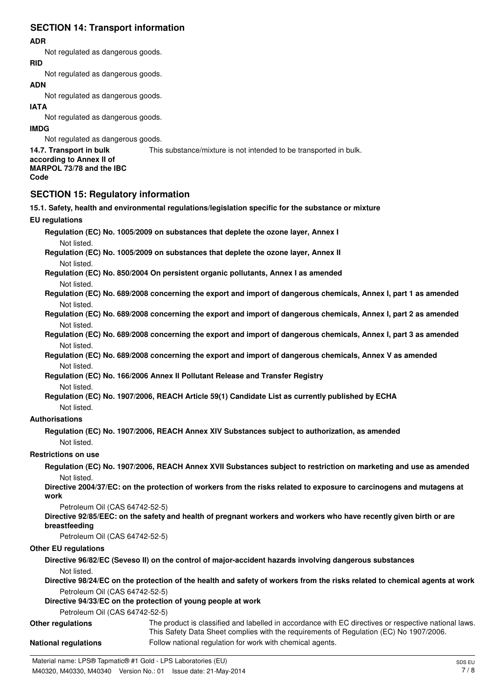# **SECTION 14: Transport information**

### **ADR**

Not regulated as dangerous goods.

#### **RID**

Not regulated as dangerous goods.

# **ADN**

Not regulated as dangerous goods.

## **IATA**

Not regulated as dangerous goods.

### **IMDG**

Not regulated as dangerous goods.

#### **14.7. Transport in bulk** This substance/mixture is not intended to be transported in bulk.

**according to Annex II of MARPOL 73/78 and the IBC Code**

# **SECTION 15: Regulatory information**

## **15.1. Safety, health and environmental regulations/legislation specific for the substance or mixture EU regulations Regulation (EC) No. 1005/2009 on substances that deplete the ozone layer, Annex I** Not listed. **Regulation (EC) No. 1005/2009 on substances that deplete the ozone layer, Annex II** Not listed. **Regulation (EC) No. 850/2004 On persistent organic pollutants, Annex I as amended** Not listed. **Regulation (EC) No. 689/2008 concerning the export and import of dangerous chemicals, Annex I, part 1 as amended** Not listed. **Regulation (EC) No. 689/2008 concerning the export and import of dangerous chemicals, Annex I, part 2 as amended** Not listed. **Regulation (EC) No. 689/2008 concerning the export and import of dangerous chemicals, Annex I, part 3 as amended** Not listed. **Regulation (EC) No. 689/2008 concerning the export and import of dangerous chemicals, Annex V as amended** Not listed. **Regulation (EC) No. 166/2006 Annex II Pollutant Release and Transfer Registry** Not listed. **Regulation (EC) No. 1907/2006, REACH Article 59(1) Candidate List as currently published by ECHA** Not listed. **Authorisations Regulation (EC) No. 1907/2006, REACH Annex XIV Substances subject to authorization, as amended** Not listed. **Restrictions on use Regulation (EC) No. 1907/2006, REACH Annex XVII Substances subject to restriction on marketing and use as amended** Not listed. **Directive 2004/37/EC: on the protection of workers from the risks related to exposure to carcinogens and mutagens at work** Petroleum Oil (CAS 64742-52-5) **Directive 92/85/EEC: on the safety and health of pregnant workers and workers who have recently given birth or are breastfeeding** Petroleum Oil (CAS 64742-52-5) **Other EU regulations Directive 96/82/EC (Seveso II) on the control of major-accident hazards involving dangerous substances** Not listed. **Directive 98/24/EC on the protection of the health and safety of workers from the risks related to chemical agents at work** Petroleum Oil (CAS 64742-52-5) **Directive 94/33/EC on the protection of young people at work** Petroleum Oil (CAS 64742-52-5) **Other regulations** The product is classified and labelled in accordance with EC directives or respective national laws. This Safety Data Sheet complies with the requirements of Regulation (EC) No 1907/2006.

**National regulations** Follow national regulation for work with chemical agents.